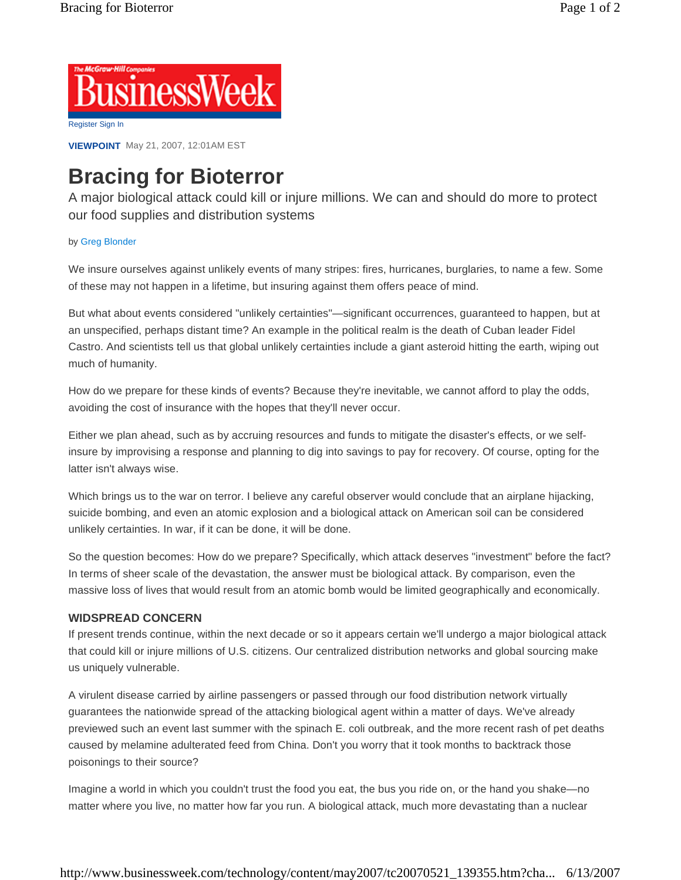

**VIEWPOINT** May 21, 2007, 12:01AM EST

## **Bracing for Bioterror**

A major biological attack could kill or injure millions. We can and should do more to protect our food supplies and distribution systems

## by Greg Blonder

We insure ourselves against unlikely events of many stripes: fires, hurricanes, burglaries, to name a few. Some of these may not happen in a lifetime, but insuring against them offers peace of mind.

But what about events considered "unlikely certainties"—significant occurrences, guaranteed to happen, but at an unspecified, perhaps distant time? An example in the political realm is the death of Cuban leader Fidel Castro. And scientists tell us that global unlikely certainties include a giant asteroid hitting the earth, wiping out much of humanity.

How do we prepare for these kinds of events? Because they're inevitable, we cannot afford to play the odds, avoiding the cost of insurance with the hopes that they'll never occur.

Either we plan ahead, such as by accruing resources and funds to mitigate the disaster's effects, or we selfinsure by improvising a response and planning to dig into savings to pay for recovery. Of course, opting for the latter isn't always wise.

Which brings us to the war on terror. I believe any careful observer would conclude that an airplane hijacking, suicide bombing, and even an atomic explosion and a biological attack on American soil can be considered unlikely certainties. In war, if it can be done, it will be done.

So the question becomes: How do we prepare? Specifically, which attack deserves "investment" before the fact? In terms of sheer scale of the devastation, the answer must be biological attack. By comparison, even the massive loss of lives that would result from an atomic bomb would be limited geographically and economically.

## **WIDSPREAD CONCERN**

If present trends continue, within the next decade or so it appears certain we'll undergo a major biological attack that could kill or injure millions of U.S. citizens. Our centralized distribution networks and global sourcing make us uniquely vulnerable.

A virulent disease carried by airline passengers or passed through our food distribution network virtually guarantees the nationwide spread of the attacking biological agent within a matter of days. We've already previewed such an event last summer with the spinach E. coli outbreak, and the more recent rash of pet deaths caused by melamine adulterated feed from China. Don't you worry that it took months to backtrack those poisonings to their source?

Imagine a world in which you couldn't trust the food you eat, the bus you ride on, or the hand you shake—no matter where you live, no matter how far you run. A biological attack, much more devastating than a nuclear